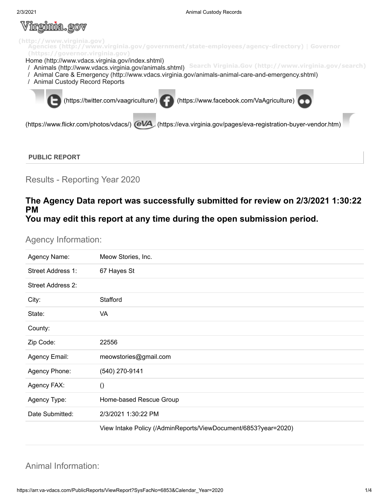#### V <u>irginia.gov</u>



### **PUBLIC REPORT**

Results - Reporting Year 2020

### **The Agency Data report was successfully submitted for review on 2/3/2021 1:30:22 PM You may edit this report at any time during the open submission period.**

### Agency Information:

| Agency Name:             | Meow Stories, Inc.                                             |
|--------------------------|----------------------------------------------------------------|
| Street Address 1:        | 67 Hayes St                                                    |
| <b>Street Address 2:</b> |                                                                |
| City:                    | Stafford                                                       |
| State:                   | VA                                                             |
| County:                  |                                                                |
| Zip Code:                | 22556                                                          |
| Agency Email:            | meowstories@gmail.com                                          |
| Agency Phone:            | (540) 270-9141                                                 |
| Agency FAX:              | $\left( \right)$                                               |
| Agency Type:             | Home-based Rescue Group                                        |
| Date Submitted:          | 2/3/2021 1:30:22 PM                                            |
|                          | View Intake Policy (/AdminReports/ViewDocument/6853?year=2020) |

## Animal Information: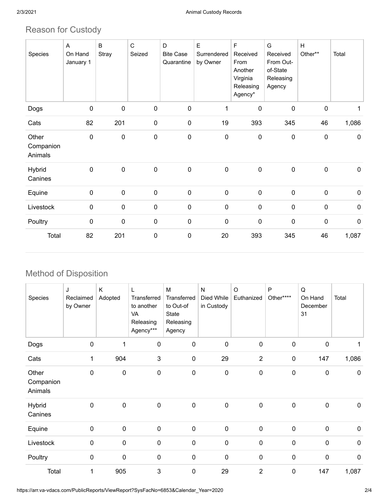# Reason for Custody

| Species                       | Α<br>On Hand<br>January 1 | B<br>Stray  | $\mathsf C$<br>Seized | D<br><b>Bite Case</b><br>Quarantine | E<br>Surrendered<br>by Owner | F<br>Received<br>From<br>Another<br>Virginia<br>Releasing<br>Agency* | G<br>Received<br>From Out-<br>of-State<br>Releasing<br>Agency | H<br>Other** | Total       |
|-------------------------------|---------------------------|-------------|-----------------------|-------------------------------------|------------------------------|----------------------------------------------------------------------|---------------------------------------------------------------|--------------|-------------|
| Dogs                          | 0                         | $\pmb{0}$   | $\pmb{0}$             | $\mathbf 0$                         | 1                            | $\pmb{0}$                                                            | $\pmb{0}$                                                     | $\mathbf 0$  |             |
| Cats                          | 82                        | 201         | $\pmb{0}$             | $\pmb{0}$                           | 19                           | 393                                                                  | 345                                                           | 46           | 1,086       |
| Other<br>Companion<br>Animals | 0                         | $\mathbf 0$ | $\pmb{0}$             | $\mathbf 0$                         | $\mathbf 0$                  | $\pmb{0}$                                                            | $\pmb{0}$                                                     | $\pmb{0}$    | $\mathbf 0$ |
| Hybrid<br>Canines             | $\mathbf 0$               | $\mathbf 0$ | $\pmb{0}$             | $\mathbf 0$                         | 0                            | $\pmb{0}$                                                            | $\pmb{0}$                                                     | $\pmb{0}$    | $\mathbf 0$ |
| Equine                        | 0                         | $\pmb{0}$   | $\pmb{0}$             | $\pmb{0}$                           | 0                            | $\pmb{0}$                                                            | $\pmb{0}$                                                     | $\pmb{0}$    | $\mathbf 0$ |
| Livestock                     | $\pmb{0}$                 | $\mathbf 0$ | $\pmb{0}$             | 0                                   | $\pmb{0}$                    | $\pmb{0}$                                                            | $\pmb{0}$                                                     | $\pmb{0}$    | $\pmb{0}$   |
| Poultry                       | 0                         | $\mathbf 0$ | $\pmb{0}$             | $\mathbf 0$                         | $\mathbf 0$                  | $\pmb{0}$                                                            | $\pmb{0}$                                                     | $\mathbf 0$  | $\mathbf 0$ |
| Total                         | 82                        | 201         | $\pmb{0}$             | 0                                   | 20                           | 393                                                                  | 345                                                           | 46           | 1,087       |

# Method of Disposition

| Species                       | J<br>Reclaimed<br>by Owner | K<br>Adopted | L<br>Transferred<br>to another<br>VA<br>Releasing<br>Agency*** | M<br>Transferred<br>to Out-of<br>State<br>Releasing<br>Agency | ${\sf N}$<br>Died While<br>in Custody | O<br>Euthanized | P<br>Other**** | Q<br>On Hand<br>December<br>31 | Total       |
|-------------------------------|----------------------------|--------------|----------------------------------------------------------------|---------------------------------------------------------------|---------------------------------------|-----------------|----------------|--------------------------------|-------------|
| Dogs                          | $\pmb{0}$                  |              | $\mathbf 0$                                                    | $\pmb{0}$                                                     | $\mathbf 0$                           | $\pmb{0}$       | $\mathbf 0$    | $\mathbf 0$                    |             |
| Cats                          | 1                          | 904          | 3                                                              | $\pmb{0}$                                                     | 29                                    | $\overline{2}$  | $\pmb{0}$      | 147                            | 1,086       |
| Other<br>Companion<br>Animals | 0                          | $\mathbf 0$  | 0                                                              | 0                                                             | $\mathbf 0$                           | $\pmb{0}$       | $\mathbf 0$    | $\mathbf 0$                    | $\mathbf 0$ |
| <b>Hybrid</b><br>Canines      | $\mathbf 0$                | $\mathbf 0$  | $\mathbf 0$                                                    | $\mathbf 0$                                                   | $\mathbf 0$                           | $\mathbf 0$     | $\mathbf 0$    | $\mathbf 0$                    | $\mathbf 0$ |
| Equine                        | $\pmb{0}$                  | $\pmb{0}$    | $\pmb{0}$                                                      | $\pmb{0}$                                                     | $\mathbf 0$                           | $\pmb{0}$       | $\pmb{0}$      | $\pmb{0}$                      | $\mathbf 0$ |
| Livestock                     | $\pmb{0}$                  | $\pmb{0}$    | 0                                                              | $\mathbf 0$                                                   | $\boldsymbol{0}$                      | $\pmb{0}$       | $\mathbf 0$    | $\mathbf 0$                    | $\pmb{0}$   |
| Poultry                       | $\pmb{0}$                  | $\pmb{0}$    | $\pmb{0}$                                                      | $\pmb{0}$                                                     | $\mathbf 0$                           | $\pmb{0}$       | $\pmb{0}$      | $\pmb{0}$                      | $\pmb{0}$   |
| Total                         | 1                          | 905          | 3                                                              | $\mathbf 0$                                                   | 29                                    | $\overline{2}$  | $\mathbf 0$    | 147                            | 1,087       |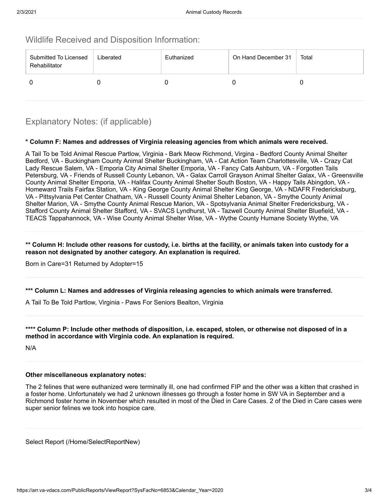### Wildlife Received and Disposition Information:

| Submitted To Licensed<br>Rehabilitator | Liberated | Euthanized | On Hand December 31 | Total |
|----------------------------------------|-----------|------------|---------------------|-------|
|                                        |           |            |                     |       |

## Explanatory Notes: (if applicable)

### **\* Column F: Names and addresses of Virginia releasing agencies from which animals were received.**

A Tail To be Told Animal Rescue Partlow, Virginia - Bark Meow Richmond, Virgina - Bedford County Animal Shelter Bedford, VA - Buckingham County Animal Shelter Buckingham, VA - Cat Action Team Charlottesville, VA - Crazy Cat Lady Rescue Salem, VA - Emporia City Animal Shelter Emporia, VA - Fancy Cats Ashburn, VA - Forgotten Tails Petersburg, VA - Friends of Russell County Lebanon, VA - Galax Carroll Grayson Animal Shelter Galax, VA - Greensville County Animal Shelter Emporia, VA - Halifax County Animal Shelter South Boston, VA - Happy Tails Abingdon, VA - Homeward Trails Fairfax Station, VA - King George County Animal Shelter King George, VA - NDAFR Fredericksburg, VA - Pittsylvania Pet Center Chatham, VA - Russell County Animal Shelter Lebanon, VA - Smythe County Animal Shelter Marion, VA - Smythe County Animal Rescue Marion, VA - Spotsylvania Animal Shelter Fredericksburg, VA - Stafford County Animal Shelter Stafford, VA - SVACS Lyndhurst, VA - Tazwell County Animal Shelter Bluefield, VA - TEACS Tappahannock, VA - Wise County Animal Shelter Wise, VA - Wythe County Humane Society Wythe, VA

#### \*\* Column H: Include other reasons for custody, i.e. births at the facility, or animals taken into custody for a **reason not designated by another category. An explanation is required.**

Born in Care=31 Returned by Adopter=15

**\*\*\* Column L: Names and addresses of Virginia releasing agencies to which animals were transferred.**

A Tail To Be Told Partlow, Virginia - Paws For Seniors Bealton, Virginia

\*\*\*\* Column P: Include other methods of disposition, i.e. escaped, stolen, or otherwise not disposed of in a **method in accordance with Virginia code. An explanation is required.**

N/A

#### **Other miscellaneous explanatory notes:**

The 2 felines that were euthanized were terminally ill, one had confirmed FIP and the other was a kitten that crashed in a foster home. Unfortunately we had 2 unknown illnesses go through a foster home in SW VA in September and a Richmond foster home in November which resulted in most of the Died in Care Cases. 2 of the Died in Care cases were super senior felines we took into hospice care.

Select Report [\(/Home/SelectReportNew\)](https://arr.va-vdacs.com/Home/SelectReportNew)